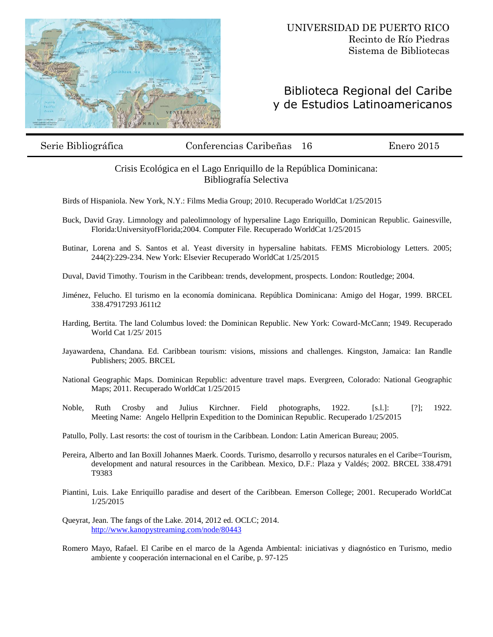

## Biblioteca Regional del Caribe y de Estudios Latinoamericanos

Serie Bibliográfica Conferencias Caribeñas 16 Enero 2015

## Crisis Ecológica en el Lago Enriquillo de la República Dominicana: Bibliografía Selectiva

Birds of Hispaniola. New York, N.Y.: Films Media Group; 2010. Recuperado WorldCat 1/25/2015

- Buck, David Gray. Limnology and paleolimnology of hypersaline Lago Enriquillo, Dominican Republic. Gainesville, Florida:UniversityofFlorida;2004. Computer File. Recuperado WorldCat 1/25/2015
- Butinar, Lorena and S. Santos et al. Yeast diversity in hypersaline habitats. FEMS Microbiology Letters. 2005; 244(2):229-234. New York: Elsevier Recuperado WorldCat 1/25/2015

Duval, David Timothy. Tourism in the Caribbean: trends, development, prospects. London: Routledge; 2004.

- Jiménez, Felucho. El turismo en la economía dominicana. República Dominicana: Amigo del Hogar, 1999. BRCEL 338.47917293 J611t2
- Harding, Bertita. The land Columbus loved: the Dominican Republic. New York: Coward-McCann; 1949. Recuperado World Cat 1/25/ 2015
- Jayawardena, Chandana. Ed. Caribbean tourism: visions, missions and challenges. Kingston, Jamaica: Ian Randle Publishers; 2005. BRCEL
- National Geographic Maps. Dominican Republic: adventure travel maps. Evergreen, Colorado: National Geographic Maps; 2011. Recuperado WorldCat 1/25/2015
- Noble, Ruth Crosby and Julius Kirchner. Field photographs, 1922. [s.l.]: [?]; 1922. Meeting Name: Angelo Hellprin Expedition to the Dominican Republic. Recuperado 1/25/2015
- Patullo, Polly. Last resorts: the cost of tourism in the Caribbean. London: Latin American Bureau; 2005.
- Pereira, Alberto and Ian Boxill Johannes Maerk. Coords. Turismo, desarrollo y recursos naturales en el Caribe=Tourism, development and natural resources in the Caribbean. Mexico, D.F.: Plaza y Valdés; 2002. BRCEL 338.4791 T9383
- Piantini, Luis. Lake Enriquillo paradise and desert of the Caribbean. Emerson College; 2001. Recuperado WorldCat 1/25/2015
- Queyrat, Jean. The fangs of the Lake. 2014, 2012 ed. OCLC; 2014. <http://www.kanopystreaming.com/node/80443>
- Romero Mayo, Rafael. El Caribe en el marco de la Agenda Ambiental: iniciativas y diagnóstico en Turismo, medio ambiente y cooperación internacional en el Caribe, p. 97-125